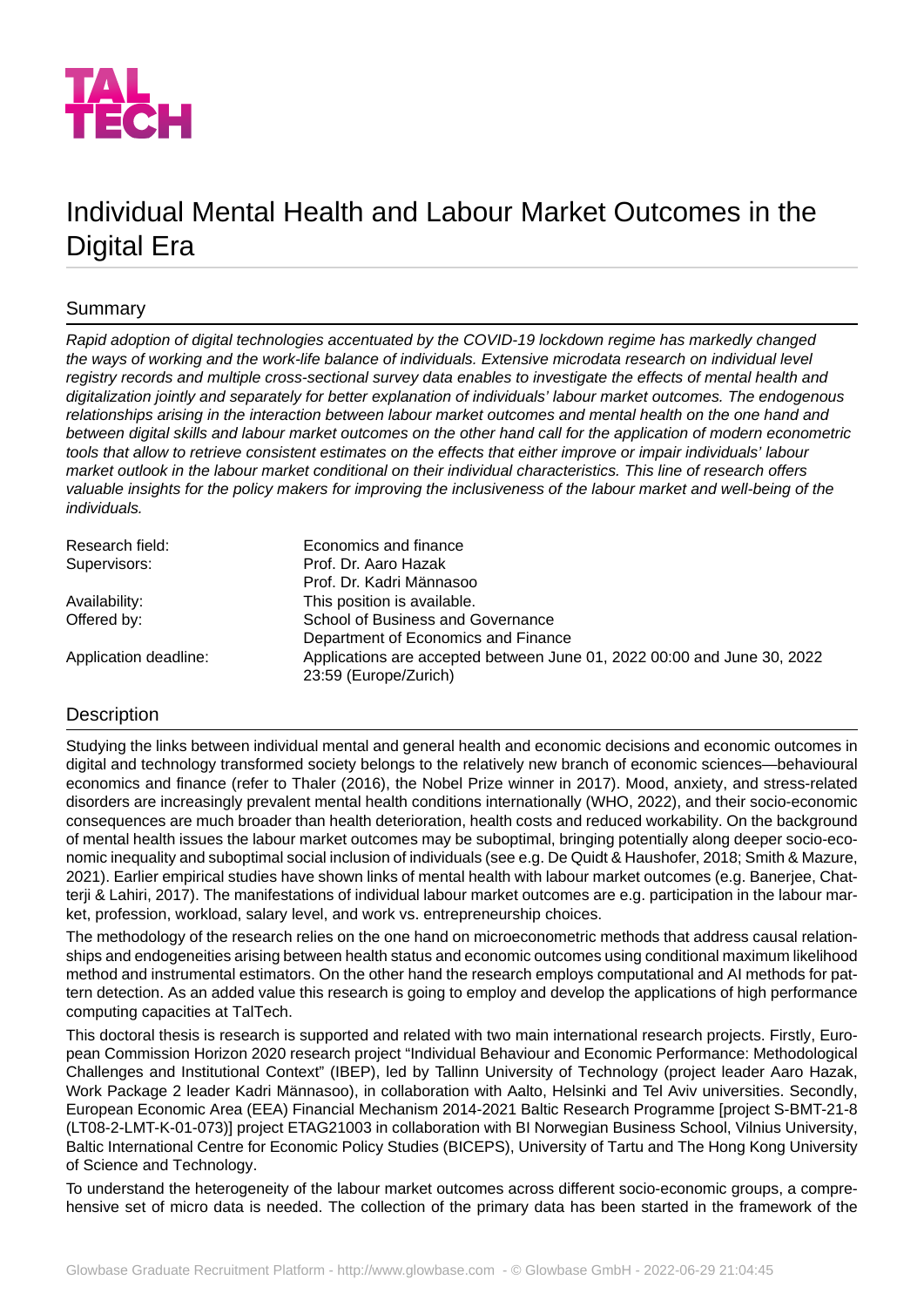

# Individual Mental Health and Labour Market Outcomes in the Digital Era

# Summary

*Rapid adoption of digital technologies accentuated by the COVID-19 lockdown regime has markedly changed the ways of working and the work-life balance of individuals. Extensive microdata research on individual level registry records and multiple cross-sectional survey data enables to investigate the effects of mental health and digitalization jointly and separately for better explanation of individuals' labour market outcomes. The endogenous relationships arising in the interaction between labour market outcomes and mental health on the one hand and between digital skills and labour market outcomes on the other hand call for the application of modern econometric tools that allow to retrieve consistent estimates on the effects that either improve or impair individuals' labour market outlook in the labour market conditional on their individual characteristics. This line of research offers valuable insights for the policy makers for improving the inclusiveness of the labour market and well-being of the individuals.*

| Research field:       | Economics and finance                                                   |
|-----------------------|-------------------------------------------------------------------------|
| Supervisors:          | Prof. Dr. Aaro Hazak                                                    |
|                       | Prof. Dr. Kadri Männasoo                                                |
| Availability:         | This position is available.                                             |
| Offered by:           | School of Business and Governance                                       |
|                       | Department of Economics and Finance                                     |
| Application deadline: | Applications are accepted between June 01, 2022 00:00 and June 30, 2022 |
|                       | 23:59 (Europe/Zurich)                                                   |

# **Description**

Studying the links between individual mental and general health and economic decisions and economic outcomes in digital and technology transformed society belongs to the relatively new branch of economic sciences—behavioural economics and finance (refer to Thaler (2016), the Nobel Prize winner in 2017). Mood, anxiety, and stress-related disorders are increasingly prevalent mental health conditions internationally (WHO, 2022), and their socio-economic consequences are much broader than health deterioration, health costs and reduced workability. On the background of mental health issues the labour market outcomes may be suboptimal, bringing potentially along deeper socio-economic inequality and suboptimal social inclusion of individuals (see e.g. De Quidt & Haushofer, 2018; Smith & Mazure, 2021). Earlier empirical studies have shown links of mental health with labour market outcomes (e.g. Banerjee, Chatterji & Lahiri, 2017). The manifestations of individual labour market outcomes are e.g. participation in the labour market, profession, workload, salary level, and work vs. entrepreneurship choices.

The methodology of the research relies on the one hand on microeconometric methods that address causal relationships and endogeneities arising between health status and economic outcomes using conditional maximum likelihood method and instrumental estimators. On the other hand the research employs computational and AI methods for pattern detection. As an added value this research is going to employ and develop the applications of high performance computing capacities at TalTech.

This doctoral thesis is research is supported and related with two main international research projects. Firstly, European Commission Horizon 2020 research project "Individual Behaviour and Economic Performance: Methodological Challenges and Institutional Context" (IBEP), led by Tallinn University of Technology (project leader Aaro Hazak, Work Package 2 leader Kadri Männasoo), in collaboration with Aalto, Helsinki and Tel Aviv universities. Secondly, European Economic Area (EEA) Financial Mechanism 2014-2021 Baltic Research Programme [project S-BMT-21-8 (LT08-2-LMT-K-01-073)] project ETAG21003 in collaboration with BI Norwegian Business School, Vilnius University, Baltic International Centre for Economic Policy Studies (BICEPS), University of Tartu and The Hong Kong University of Science and Technology.

To understand the heterogeneity of the labour market outcomes across different socio-economic groups, a comprehensive set of micro data is needed. The collection of the primary data has been started in the framework of the